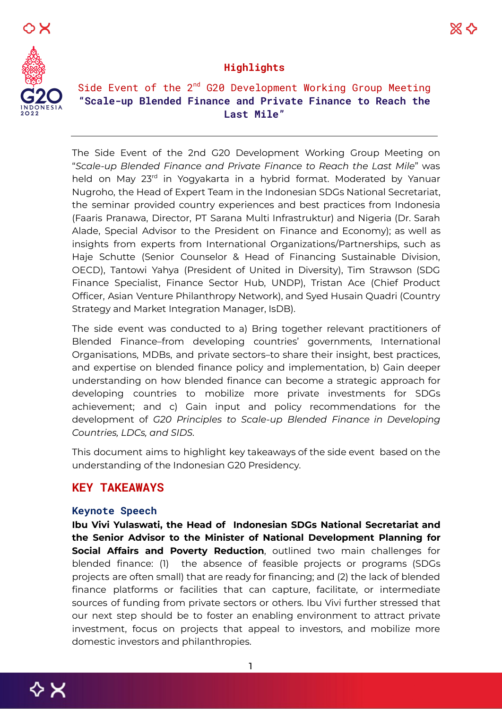



### **Highlights**

# Side Event of the  $2^{nd}$  G20 Development Working Group Meeting **"Scale-up Blended Finance and Private Finance to Reach the Last Mile"**

The Side Event of the 2nd G20 Development Working Group Meeting on "*Scale-up Blended Finance and Private Finance to Reach the Last Mile*" was held on May 23<sup>rd</sup> in Yogyakarta in a hybrid format. Moderated by Yanuar Nugroho, the Head of Expert Team in the Indonesian SDGs National Secretariat, the seminar provided country experiences and best practices from Indonesia (Faaris Pranawa, Director, PT Sarana Multi Infrastruktur) and Nigeria (Dr. Sarah Alade, Special Advisor to the President on Finance and Economy); as well as insights from experts from International Organizations/Partnerships, such as Haje Schutte (Senior Counselor & Head of Financing Sustainable Division, OECD), Tantowi Yahya (President of United in Diversity), Tim Strawson (SDG Finance Specialist, Finance Sector Hub, UNDP), Tristan Ace (Chief Product Officer, Asian Venture Philanthropy Network), and Syed Husain Quadri (Country Strategy and Market Integration Manager, IsDB).

The side event was conducted to a) Bring together relevant practitioners of Blended Finance–from developing countries' governments, International Organisations, MDBs, and private sectors–to share their insight, best practices, and expertise on blended finance policy and implementation, b) Gain deeper understanding on how blended finance can become a strategic approach for developing countries to mobilize more private investments for SDGs achievement; and c) Gain input and policy recommendations for the development of *G20 Principles to Scale-up Blended Finance in Developing Countries, LDCs, and SIDS.*

This document aims to highlight key takeaways of the side event based on the understanding of the Indonesian G20 Presidency.

## **KEY TAKEAWAYS**

#### **Keynote Speech**

**Ibu Vivi Yulaswati, the Head of Indonesian SDGs National Secretariat and the Senior Advisor to the Minister of National Development Planning for Social Affairs and Poverty Reduction**, outlined two main challenges for blended finance: (1) the absence of feasible projects or programs (SDGs projects are often small) that are ready for financing; and (2) the lack of blended finance platforms or facilities that can capture, facilitate, or intermediate sources of funding from private sectors or others. Ibu Vivi further stressed that our next step should be to foster an enabling environment to attract private investment, focus on projects that appeal to investors, and mobilize more domestic investors and philanthropies.

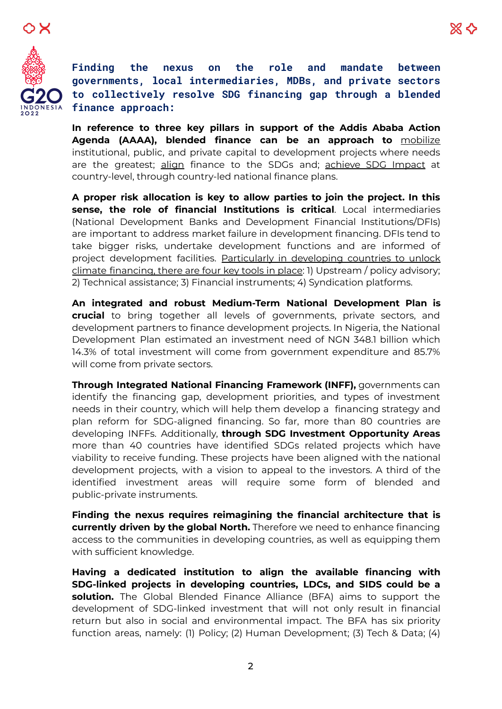



**Finding the nexus on the role and mandate between governments, local intermediaries, MDBs, and private sectors to collectively resolve SDG financing gap through a blended finance approach:**

**In reference to three key pillars in support of the Addis Ababa Action Agenda (AAAA), blended finance can be an approach to** mobilize institutional, public, and private capital to development projects where needs are the greatest; align finance to the SDGs and; achieve SDG Impact at country-level, through country-led national finance plans.

**A proper risk allocation is key to allow parties to join the project. In this sense, the role of financial Institutions is critical**. Local intermediaries (National Development Banks and Development Financial Institutions/DFIs) are important to address market failure in development financing. DFIs tend to take bigger risks, undertake development functions and are informed of project development facilities. Particularly in developing countries to unlock climate financing, there are four key tools in place: 1) Upstream / policy advisory; 2) Technical assistance; 3) Financial instruments; 4) Syndication platforms.

**An integrated and robust Medium-Term National Development Plan is crucial** to bring together all levels of governments, private sectors, and development partners to finance development projects. In Nigeria, the National Development Plan estimated an investment need of NGN 348.1 billion which 14.3% of total investment will come from government expenditure and 85.7% will come from private sectors.

**Through Integrated National Financing Framework (INFF),** governments can identify the financing gap, development priorities, and types of investment needs in their country, which will help them develop a financing strategy and plan reform for SDG-aligned financing. So far, more than 80 countries are developing INFFs. Additionally, **through SDG Investment Opportunity Areas** more than 40 countries have identified SDGs related projects which have viability to receive funding. These projects have been aligned with the national development projects, with a vision to appeal to the investors. A third of the identified investment areas will require some form of blended and public-private instruments.

**Finding the nexus requires reimagining the financial architecture that is currently driven by the global North.** Therefore we need to enhance financing access to the communities in developing countries, as well as equipping them with sufficient knowledge.

**Having a dedicated institution to align the available financing with SDG-linked projects in developing countries, LDCs, and SIDS could be a solution.** The Global Blended Finance Alliance (BFA) aims to support the development of SDG-linked investment that will not only result in financial return but also in social and environmental impact. The BFA has six priority function areas, namely: (1) Policy; (2) Human Development; (3) Tech & Data; (4)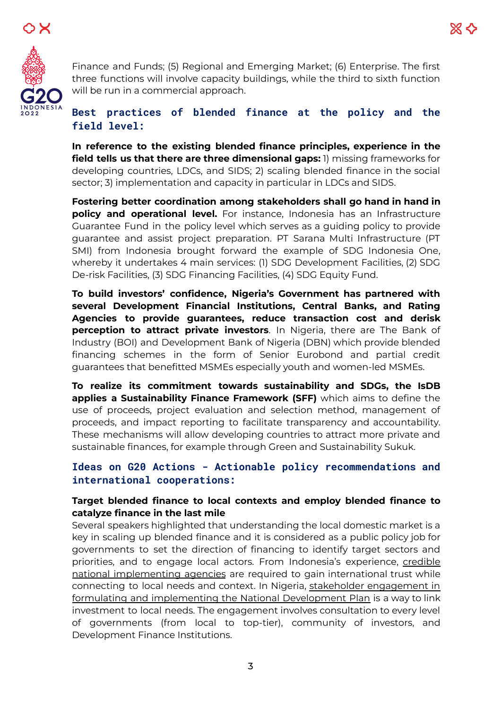



Finance and Funds; (5) Regional and Emerging Market; (6) Enterprise. The first three functions will involve capacity buildings, while the third to sixth function will be run in a commercial approach.

# **Best practices of blended finance at the policy and the field level:**

**In reference to the existing blended finance principles, experience in the field tells us that there are three dimensional gaps:** 1) missing frameworks for developing countries, LDCs, and SIDS; 2) scaling blended finance in the social sector; 3) implementation and capacity in particular in LDCs and SIDS.

**Fostering better coordination among stakeholders shall go hand in hand in policy and operational level.** For instance, Indonesia has an Infrastructure Guarantee Fund in the policy level which serves as a guiding policy to provide guarantee and assist project preparation. PT Sarana Multi Infrastructure (PT SMI) from Indonesia brought forward the example of SDG Indonesia One, whereby it undertakes 4 main services: (1) SDG Development Facilities, (2) SDG De-risk Facilities, (3) SDG Financing Facilities, (4) SDG Equity Fund.

**To build investors' confidence, Nigeria's Government has partnered with several Development Financial Institutions, Central Banks, and Rating Agencies to provide guarantees, reduce transaction cost and derisk perception to attract private investors**. In Nigeria, there are The Bank of Industry (BOI) and Development Bank of Nigeria (DBN) which provide blended financing schemes in the form of Senior Eurobond and partial credit guarantees that benefitted MSMEs especially youth and women-led MSMEs.

**To realize its commitment towards sustainability and SDGs, the IsDB applies a Sustainability Finance Framework (SFF)** which aims to define the use of proceeds, project evaluation and selection method, management of proceeds, and impact reporting to facilitate transparency and accountability. These mechanisms will allow developing countries to attract more private and sustainable finances, for example through Green and Sustainability Sukuk.

# **Ideas on G20 Actions - Actionable policy recommendations and international cooperations:**

### **Target blended finance to local contexts and employ blended finance to catalyze finance in the last mile**

Several speakers highlighted that understanding the local domestic market is a key in scaling up blended finance and it is considered as a public policy job for governments to set the direction of financing to identify target sectors and priorities, and to engage local actors. From Indonesia's experience, credible national implementing agencies are required to gain international trust while connecting to local needs and context. In Nigeria, stakeholder engagement in formulating and implementing the National Development Plan is a way to link investment to local needs. The engagement involves consultation to every level of governments (from local to top-tier), community of investors, and Development Finance Institutions.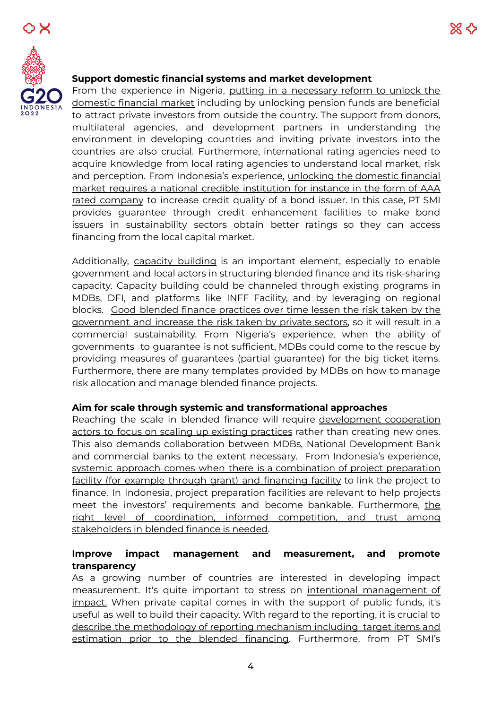



#### **Support domestic financial systems and market development**

From the experience in Nigeria, putting in a necessary reform to unlock the domestic financial market including by unlocking pension funds are beneficial to attract private investors from outside the country. The support from donors, multilateral agencies, and development partners in understanding the environment in developing countries and inviting private investors into the countries are also crucial. Furthermore, international rating agencies need to acquire knowledge from local rating agencies to understand local market, risk and perception. From Indonesia's experience, unlocking the domestic financial market requires a national credible institution for instance in the form of AAA rated company to increase credit quality of a bond issuer. In this case, PT SMI provides guarantee through credit enhancement facilities to make bond issuers in sustainability sectors obtain better ratings so they can access financing from the local capital market.

Additionally, capacity building is an important element, especially to enable government and local actors in structuring blended finance and its risk-sharing capacity. Capacity building could be channeled through existing programs in MDBs, DFI, and platforms like INFF Facility, and by leveraging on regional blocks. Good blended finance practices over time lessen the risk taken by the government and increase the risk taken by private sectors, so it will result in a commercial sustainability. From Nigeria's experience, when the ability of governments to guarantee is not sufficient, MDBs could come to the rescue by providing measures of guarantees (partial guarantee) for the big ticket items. Furthermore, there are many templates provided by MDBs on how to manage risk allocation and manage blended finance projects.

#### **Aim for scale through systemic and transformational approaches**

Reaching the scale in blended finance will require development cooperation actors to focus on scaling up existing practices rather than creating new ones. This also demands collaboration between MDBs, National Development Bank and commercial banks to the extent necessary. From Indonesia's experience, systemic approach comes when there is a combination of project preparation facility (for example through grant) and financing facility to link the project to finance. In Indonesia, project preparation facilities are relevant to help projects meet the investors' requirements and become bankable. Furthermore, the right level of coordination, informed competition, and trust among stakeholders in blended finance is needed.

### **Improve impact management and measurement, and promote transparency**

As a growing number of countries are interested in developing impact measurement. It's quite important to stress on intentional management of impact. When private capital comes in with the support of public funds, it's useful as well to build their capacity. With regard to the reporting, it is crucial to describe the methodology of reporting mechanism including target items and estimation prior to the blended financing. Furthermore, from PT SMI's